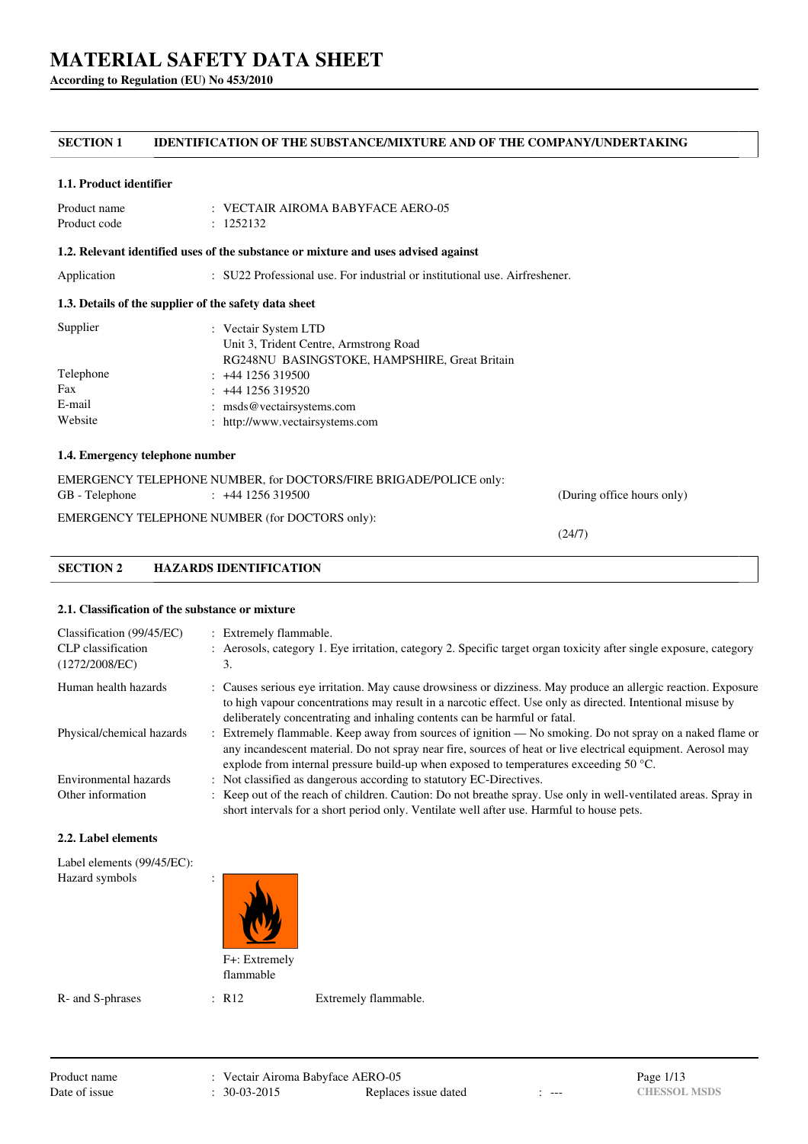**According to Regulation (EU) No 453/2010**

# **SECTION 1 IDENTIFICATION OF THE SUBSTANCE/MIXTURE AND OF THE COMPANY/UNDERTAKING**

#### **1.1. Product identifier**

| Product name | $\pm$ VECTAIR AIROMA BABYFACE AERO-05 |
|--------------|---------------------------------------|
| Product code | : 1252132                             |

### **1.2. Relevant identified uses of the substance or mixture and uses advised against**

Application : SU22 Professional use. For industrial or institutional use. Airfreshener.

## **1.3. Details of the supplier of the safety data sheet**

| Supplier  | : Vectair System LTD<br>Unit 3, Trident Centre, Armstrong Road |
|-----------|----------------------------------------------------------------|
|           | RG248NU BASINGSTOKE, HAMPSHIRE, Great Britain                  |
| Telephone | $: +441256319500$                                              |
| Fax       | $: +44$ 1256 319520                                            |
| E-mail    | : msds@vectairsystems.com                                      |
| Website   | : http://www.vectairsystems.com                                |

# **1.4. Emergency telephone number**

|                | EMERGENCY TELEPHONE NUMBER, for DOCTORS/FIRE BRIGADE/POLICE only: |                            |
|----------------|-------------------------------------------------------------------|----------------------------|
| GB - Telephone | $\div$ +44 1256 319500                                            | (During office hours only) |
|                | EMERGENCY TELEPHONE NUMBER (for DOCTORS only):                    |                            |

(24/7)

# **SECTION 2 HAZARDS IDENTIFICATION**

### **2.1. Classification of the substance or mixture**

| Classification (99/45/EC)<br>CLP classification<br>(1272/2008/EC) | : Extremely flammable.<br>: Aerosols, category 1. Eye irritation, category 2. Specific target organ toxicity after single exposure, category<br>3.                                                                                                                                                                          |
|-------------------------------------------------------------------|-----------------------------------------------------------------------------------------------------------------------------------------------------------------------------------------------------------------------------------------------------------------------------------------------------------------------------|
| Human health hazards                                              | : Causes serious eye irritation. May cause drowsiness or dizziness. May produce an allergic reaction. Exposure<br>to high vapour concentrations may result in a narcotic effect. Use only as directed. Intentional misuse by                                                                                                |
|                                                                   | deliberately concentrating and inhaling contents can be harmful or fatal.                                                                                                                                                                                                                                                   |
| Physical/chemical hazards                                         | : Extremely flammable. Keep away from sources of ignition — No smoking. Do not spray on a naked flame or<br>any incandescent material. Do not spray near fire, sources of heat or live electrical equipment. Aerosol may<br>explode from internal pressure build-up when exposed to temperatures exceeding 50 $^{\circ}$ C. |
| Environmental hazards                                             | : Not classified as dangerous according to statutory EC-Directives.                                                                                                                                                                                                                                                         |
| Other information                                                 | : Keep out of the reach of children. Caution: Do not breathe spray. Use only in well-ventilated areas. Spray in<br>short intervals for a short period only. Ventilate well after use. Harmful to house pets.                                                                                                                |

#### **2.2. Label elements**

| Label elements (99/45/EC):<br>Hazard symbols | ٠<br>٠<br>F+: Extremely<br>flammable |  |
|----------------------------------------------|--------------------------------------|--|
|----------------------------------------------|--------------------------------------|--|

R- and S-phrases : R12 Extremely flammable.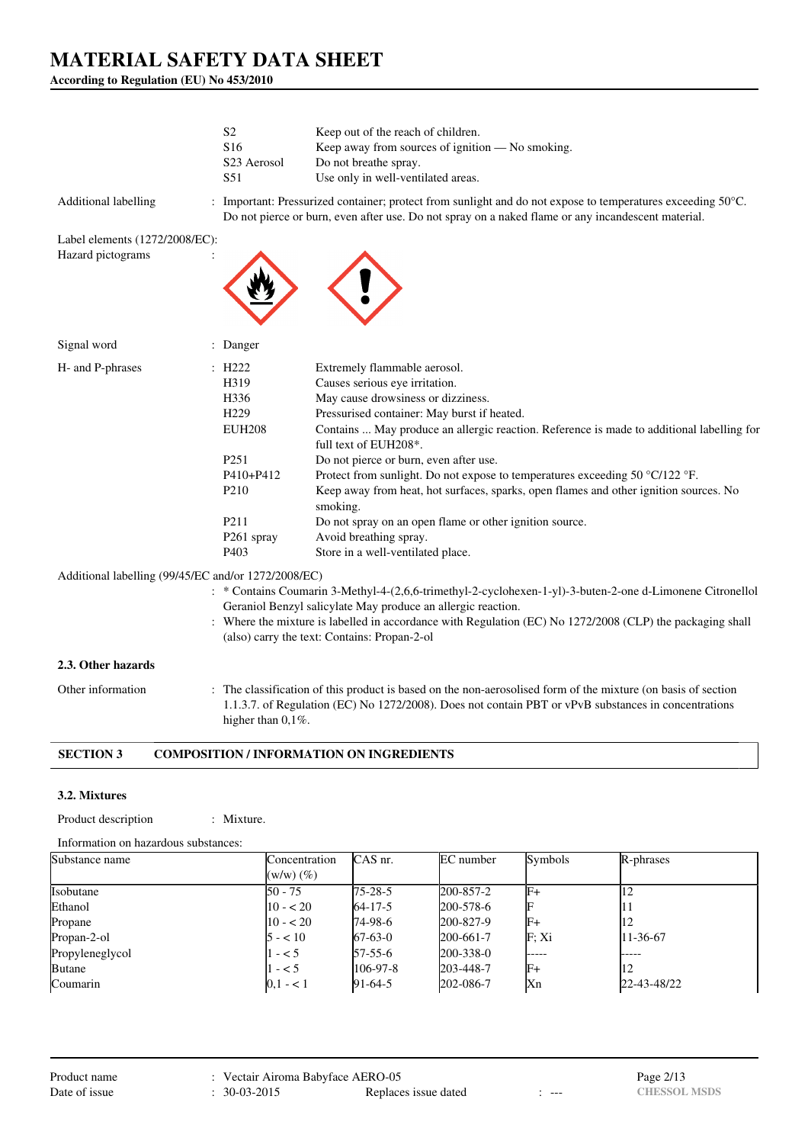**According to Regulation (EU) No 453/2010**

|                                                             | S <sub>2</sub><br>S <sub>16</sub><br>S <sub>23</sub> Aerosol<br>S51                                                                                                                           | Keep out of the reach of children.<br>Keep away from sources of ignition — No smoking.<br>Do not breathe spray.<br>Use only in well-ventilated areas.                                                                                                                                                                                                                                                                                                                                                                                                                                                           |
|-------------------------------------------------------------|-----------------------------------------------------------------------------------------------------------------------------------------------------------------------------------------------|-----------------------------------------------------------------------------------------------------------------------------------------------------------------------------------------------------------------------------------------------------------------------------------------------------------------------------------------------------------------------------------------------------------------------------------------------------------------------------------------------------------------------------------------------------------------------------------------------------------------|
| <b>Additional labelling</b>                                 |                                                                                                                                                                                               | : Important: Pressurized container; protect from sunlight and do not expose to temperatures exceeding 50°C.<br>Do not pierce or burn, even after use. Do not spray on a naked flame or any incandescent material.                                                                                                                                                                                                                                                                                                                                                                                               |
| Label elements (1272/2008/EC):<br>Hazard pictograms         |                                                                                                                                                                                               |                                                                                                                                                                                                                                                                                                                                                                                                                                                                                                                                                                                                                 |
| Signal word                                                 | : Danger                                                                                                                                                                                      |                                                                                                                                                                                                                                                                                                                                                                                                                                                                                                                                                                                                                 |
| H- and P-phrases                                            | $\therefore$ H222<br>H319<br>H <sub>336</sub><br>H <sub>229</sub><br><b>EUH208</b><br>P <sub>251</sub><br>P410+P412<br>P <sub>210</sub><br>P <sub>211</sub><br>P261 spray<br>P <sub>403</sub> | Extremely flammable aerosol.<br>Causes serious eye irritation.<br>May cause drowsiness or dizziness.<br>Pressurised container: May burst if heated.<br>Contains  May produce an allergic reaction. Reference is made to additional labelling for<br>full text of EUH208*.<br>Do not pierce or burn, even after use.<br>Protect from sunlight. Do not expose to temperatures exceeding 50 $\degree$ C/122 $\degree$ F.<br>Keep away from heat, hot surfaces, sparks, open flames and other ignition sources. No<br>smoking.<br>Do not spray on an open flame or other ignition source.<br>Avoid breathing spray. |
| $\Delta$ dditional labelling (99/45/EC and/or 1272/2008/EC) |                                                                                                                                                                                               | Store in a well-ventilated place.                                                                                                                                                                                                                                                                                                                                                                                                                                                                                                                                                                               |

#### dditional labelling (99/45/EC and/or 1272/2008/EC)

- : \* Contains Coumarin 3-Methyl-4-(2,6,6-trimethyl-2-cyclohexen-1-yl)-3-buten-2-one d-Limonene Citronellol Geraniol Benzyl salicylate May produce an allergic reaction.
- : Where the mixture is labelled in accordance with Regulation (EC) No 1272/2008 (CLP) the packaging shall (also) carry the text: Contains: Propan-2-ol

#### **2.3. Other hazards**

Other information : The classification of this product is based on the non-aerosolised form of the mixture (on basis of section 1.1.3.7. of Regulation (EC) No 1272/2008). Does not contain PBT or vPvB substances in concentrations higher than  $0,1\%$ .

# **SECTION 3 COMPOSITION / INFORMATION ON INGREDIENTS**

# **3.2. Mixtures**

Product description : Mixture.

|  |  | <b>IVIIX</b> |  |
|--|--|--------------|--|
|  |  |              |  |
|  |  |              |  |
|  |  |              |  |

| Information on hazardous substances: |                |                |                 |         |             |
|--------------------------------------|----------------|----------------|-----------------|---------|-------------|
| Substance name                       | Concentration  | CAS nr.        | EC number       | Symbols | R-phrases   |
|                                      | $(w/w)$ $(\%)$ |                |                 |         |             |
| Isobutane                            | $50 - 75$      | $175 - 28 - 5$ | 200-857-2       | IF+     |             |
| Ethanol                              | $10 - 20$      | $64 - 17 - 5$  | 200-578-6       |         |             |
| Propane                              | $10 - 20$      | 74-98-6        | 200-827-9       | F+      | 12          |
| Propan-2-ol                          | $5 - 10$       | $67-63-0$      | 200-661-7       | F: Xi   | 11-36-67    |
| Propyleneglycol                      | $-5$           | $57-55-6$      | $200 - 338 - 0$ | ------  | -----       |
| <b>Butane</b>                        | $-5$           | 106-97-8       | 203-448-7       | $F+$    |             |
| Coumarin                             | $ 0,1 - 1 $    | $91-64-5$      | 202-086-7       | Xn      | 22-43-48/22 |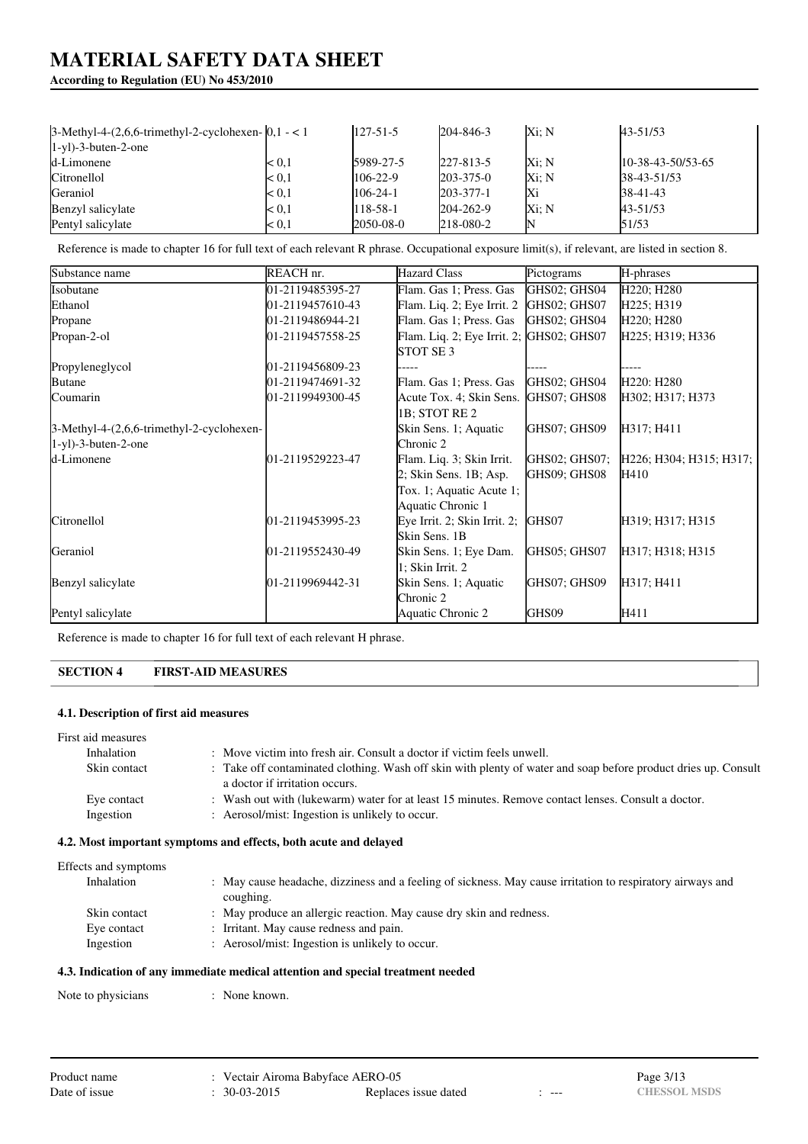# **According to Regulation (EU) No 453/2010**

| $3-Methyl-4-(2,6,6-trimethyl-2-cyclohexen- 0,1-<1 $ |               | $127 - 51 - 5$ | 204-846-3       | Xi: N | 43-51/53            |
|-----------------------------------------------------|---------------|----------------|-----------------|-------|---------------------|
| $1-y1$ )-3-buten-2-one                              |               |                |                 |       |                     |
| d-Limonene                                          | $\approx 0.1$ | 5989-27-5      | 227-813-5       | Xi: N | $10-38-43-50/53-65$ |
| Citronellol                                         | $\approx 0.1$ | $106 - 22 - 9$ | $203 - 375 - 0$ | Xi: N | 38-43-51/53         |
| Geraniol                                            | $\approx 0.1$ | 106-24-1       | $203 - 377 - 1$ | Xi    | $38-41-43$          |
| Benzyl salicylate                                   | $\approx 0.1$ | 118-58-1       | 204-262-9       | Xi: N | 43-51/53            |
| Pentyl salicylate                                   | $\approx 0.1$ | 2050-08-0      | 218-080-2       | IN    | 51/53               |

Reference is made to chapter 16 for full text of each relevant R phrase. Occupational exposure limit(s), if relevant, are listed in section 8.

| Substance name                              | REACH nr.            | <b>Hazard Class</b>                      | Pictograms    | H-phrases               |
|---------------------------------------------|----------------------|------------------------------------------|---------------|-------------------------|
| Isobutane                                   | 01-2119485395-27     | Flam. Gas 1; Press. Gas                  | GHS02; GHS04  | H220; H280              |
| Ethanol                                     | 01-2119457610-43     | Flam. Liq. 2; Eye Irrit. 2               | GHS02; GHS07  | H225; H319              |
| Propane                                     | 01-2119486944-21     | Flam. Gas 1; Press. Gas                  | GHS02; GHS04  | H220; H280              |
| Propan-2-ol                                 | 01-2119457558-25     | Flam. Liq. 2; Eye Irrit. 2; GHS02; GHS07 |               | H225; H319; H336        |
|                                             |                      | STOT SE <sub>3</sub>                     |               |                         |
| Propyleneglycol                             | 01-2119456809-23     |                                          |               |                         |
| <b>Butane</b>                               | 01-2119474691-32     | Flam. Gas 1; Press. Gas                  | GHS02: GHS04  | H220: H280              |
| Coumarin                                    | 01-2119949300-45     | Acute Tox. 4; Skin Sens. GHS07; GHS08    |               | H302; H317; H373        |
|                                             |                      | 1B; STOT RE 2                            |               |                         |
| $3-Methyl-4-(2,6,6-trimethyl-2-cyclohexen-$ |                      | Skin Sens. 1; Aquatic                    | GHS07; GHS09  | H317; H411              |
| $1-yl$ )-3-buten-2-one                      |                      | Chronic 2                                |               |                         |
| d-Limonene                                  | $[01-2119529223-47]$ | Flam. Liq. 3; Skin Irrit.                | GHS02; GHS07; | H226; H304; H315; H317; |
|                                             |                      | 2; Skin Sens. 1B; Asp.                   | GHS09; GHS08  | H410                    |
|                                             |                      | Tox. 1; Aquatic Acute 1;                 |               |                         |
|                                             |                      | Aquatic Chronic 1                        |               |                         |
| Citronellol                                 | 01-2119453995-23     | Eye Irrit. 2; Skin Irrit. 2;             | GHS07         | H319; H317; H315        |
|                                             |                      | Skin Sens. 1B                            |               |                         |
| Geraniol                                    | 01-2119552430-49     | Skin Sens. 1; Eye Dam.                   | GHS05: GHS07  | H317; H318; H315        |
|                                             |                      | 1; Skin Irrit. 2                         |               |                         |
| Benzyl salicylate                           | 01-2119969442-31     | Skin Sens. 1; Aquatic                    | GHS07; GHS09  | H317; H411              |
|                                             |                      | Chronic 2                                |               |                         |
| Pentyl salicylate                           |                      | Aquatic Chronic 2                        | GHS09         | H411                    |

Reference is made to chapter 16 for full text of each relevant H phrase.

# **SECTION 4 FIRST-AID MEASURES**

### **4.1. Description of first aid measures**

| First aid measures |                                                                                                                |
|--------------------|----------------------------------------------------------------------------------------------------------------|
| Inhalation         | : Move victim into fresh air. Consult a doctor if victim feels unwell.                                         |
| Skin contact       | : Take off contaminated clothing. Wash off skin with plenty of water and soap before product dries up. Consult |
|                    | a doctor if irritation occurs.                                                                                 |
| Eye contact        | : Wash out with (lukewarm) water for at least 15 minutes. Remove contact lenses. Consult a doctor.             |
| Ingestion          | : Aerosol/mist: Ingestion is unlikely to occur.                                                                |
|                    |                                                                                                                |

# **4.2. Most important symptoms and effects, both acute and delayed**

# Effects and sympt

| Effects and symptoms |                                                                                                            |
|----------------------|------------------------------------------------------------------------------------------------------------|
| Inhalation           | : May cause headache, dizziness and a feeling of sickness. May cause irritation to respiratory airways and |
|                      | coughing.                                                                                                  |
| Skin contact         | : May produce an allergic reaction. May cause dry skin and redness.                                        |
| Eye contact          | : Irritant. May cause redness and pain.                                                                    |
| Ingestion            | : Aerosol/mist: Ingestion is unlikely to occur.                                                            |
|                      |                                                                                                            |

### **4.3. Indication of any immediate medical attention and special treatment needed**

Note to physicians : None known.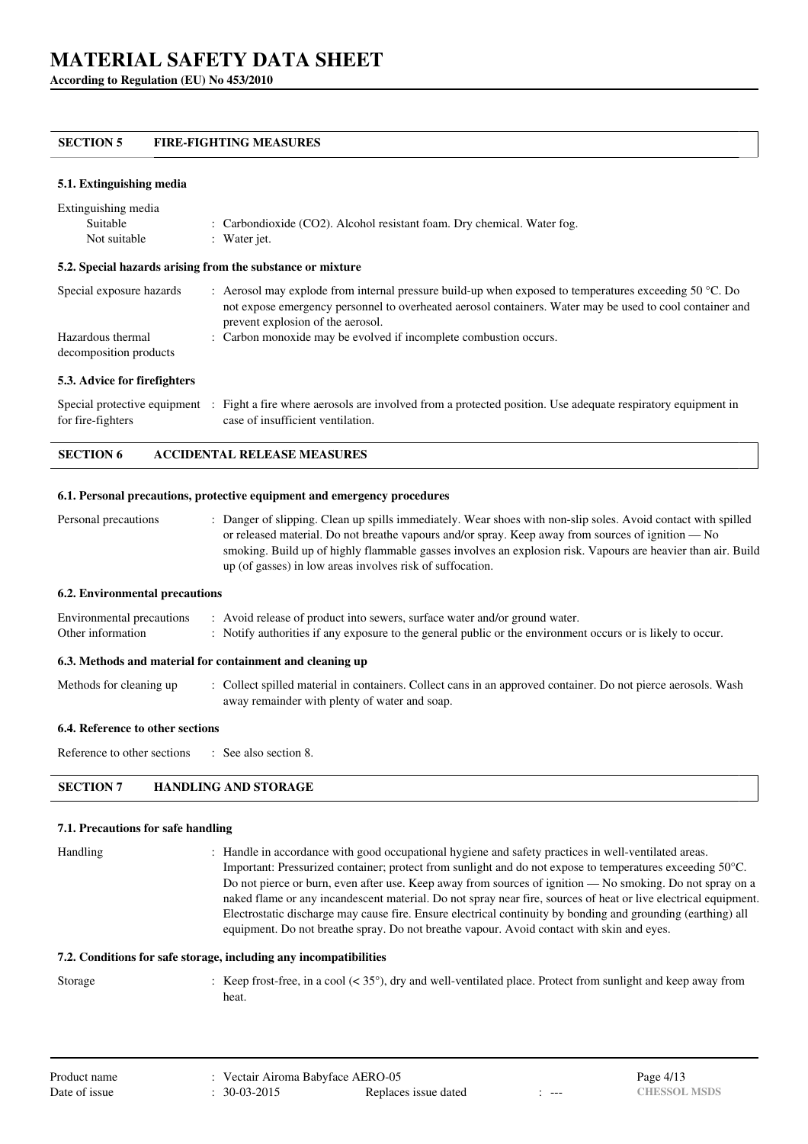**According to Regulation (EU) No 453/2010**

# **SECTION 5 FIRE-FIGHTING MEASURES**

#### **5.1. Extinguishing media**

| Extinguishing media      |                                                                                                                  |
|--------------------------|------------------------------------------------------------------------------------------------------------------|
| Suitable                 | : Carbondioxide $(CO2)$ . Alcohol resistant foam. Dry chemical. Water fog.                                       |
| Not suitable             | : Water jet.                                                                                                     |
|                          | 5.2. Special hazards arising from the substance or mixture                                                       |
| Special exposure hazards | : Aerosol may explode from internal pressure build-up when exposed to temperatures exceeding 50 $^{\circ}$ C. Do |

| opeenin exposure management | Therefor they express from invertise pressure band up when exposed to temperatures exceeding 50 °C. Bo   |
|-----------------------------|----------------------------------------------------------------------------------------------------------|
|                             | not expose emergency personnel to overheated aerosol containers. Water may be used to cool container and |
|                             | prevent explosion of the aerosol.                                                                        |
| Hazardous thermal           | : Carbon monoxide may be evolved if incomplete combustion occurs.                                        |

#### **5.3. Advice for firefighters**

decomposition products

Special protective equipment : Fight a fire where aerosols are involved from a protected position. Use adequate respiratory equipment in for fire-fighters case of insufficient ventilation.

# **SECTION 6 ACCIDENTAL RELEASE MEASURES**

#### **6.1. Personal precautions, protective equipment and emergency procedures**

Personal precautions : Danger of slipping. Clean up spills immediately. Wear shoes with non-slip soles. Avoid contact with spilled or released material. Do not breathe vapours and/or spray. Keep away from sources of ignition — No smoking. Build up of highly flammable gasses involves an explosion risk. Vapours are heavier than air. Build up (of gasses) in low areas involves risk of suffocation.

#### **6.2. Environmental precautions**

| Environmental precautions | : Avoid release of product into sewers, surface water and/or ground water.                                  |
|---------------------------|-------------------------------------------------------------------------------------------------------------|
| Other information         | : Notify authorities if any exposure to the general public or the environment occurs or is likely to occur. |
|                           | 6.3. Methods and material for containment and cleaning up                                                   |

Methods for cleaning up : Collect spilled material in containers. Collect cans in an approved container. Do not pierce aerosols. Wash away remainder with plenty of water and soap.

### **6.4. Reference to other sections**

Reference to other sections : See also section 8.

# **SECTION 7 HANDLING AND STORAGE**

#### **7.1. Precautions for safe handling**

Handling : Handle in accordance with good occupational hygiene and safety practices in well-ventilated areas. Important: Pressurized container; protect from sunlight and do not expose to temperatures exceeding 50°C. Do not pierce or burn, even after use. Keep away from sources of ignition — No smoking. Do not spray on a naked flame or any incandescent material. Do not spray near fire, sources of heat or live electrical equipment. Electrostatic discharge may cause fire. Ensure electrical continuity by bonding and grounding (earthing) all equipment. Do not breathe spray. Do not breathe vapour. Avoid contact with skin and eyes.

#### **7.2. Conditions for safe storage, including any incompatibilities**

Storage : Keep frost-free, in a cool (< 35°), dry and well-ventilated place. Protect from sunlight and keep away from heat.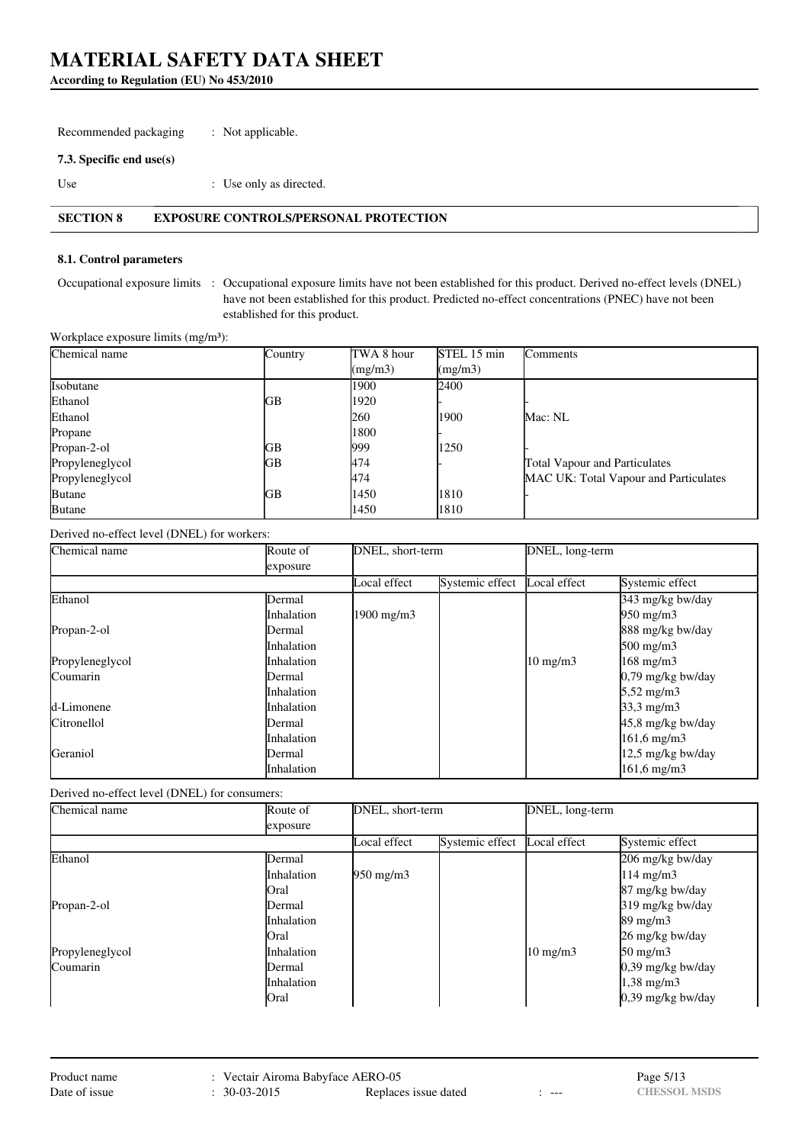**According to Regulation (EU) No 453/2010**

Recommended packaging : Not applicable.

### **7.3. Specific end use(s)**

Use  $\qquad \qquad$  : Use only as directed.

# **SECTION 8 EXPOSURE CONTROLS/PERSONAL PROTECTION**

### **8.1. Control parameters**

Occupational exposure limits : Occupational exposure limits have not been established for this product. Derived no-effect levels (DNEL) have not been established for this product. Predicted no-effect concentrations (PNEC) have not been established for this product.

Workplace exposure limits (mg/m<sup>3</sup>):

| Chemical name   | Country | TWA 8 hour | STEL 15 min | <b>Comments</b>                       |
|-----------------|---------|------------|-------------|---------------------------------------|
|                 |         | (mg/m3)    | (mg/m3)     |                                       |
| Isobutane       |         | 1900       | 2400        |                                       |
| Ethanol         | GВ      | 1920       |             |                                       |
| Ethanol         |         | 260        | 1900        | Mac: NL                               |
| Propane         |         | 1800       |             |                                       |
| Propan-2-ol     | GВ      | 999        | 1250        |                                       |
| Propyleneglycol | GВ      | 474        |             | <b>Total Vapour and Particulates</b>  |
| Propyleneglycol |         | 474        |             | MAC UK: Total Vapour and Particulates |
| <b>Butane</b>   | GВ      | 1450       | 1810        |                                       |
| <b>Butane</b>   |         | 1450       | 1810        |                                       |

### Derived no-effect level (DNEL) for workers:

| Chemical name   | Route of      | DNEL, short-term      |                 |                   | DNEL, long-term       |  |
|-----------------|---------------|-----------------------|-----------------|-------------------|-----------------------|--|
|                 | exposure      |                       |                 |                   |                       |  |
|                 |               | Local effect          | Systemic effect | Local effect      | Systemic effect       |  |
| Ethanol         | Dermal        |                       |                 |                   | 343 mg/kg bw/day      |  |
|                 | Inhalation    | $1900 \text{ mg/m}$ 3 |                 |                   | $950 \text{ mg/m}$    |  |
| Propan-2-ol     | Dermal        |                       |                 |                   | 888 mg/kg bw/day      |  |
|                 | Inhalation    |                       |                 |                   | $500 \text{ mg/m}$    |  |
| Propyleneglycol | Inhalation    |                       |                 | $10 \text{ mg/m}$ | $168$ mg/m $3$        |  |
| Coumarin        | <b>Dermal</b> |                       |                 |                   | $0,79$ mg/kg bw/day   |  |
|                 | Inhalation    |                       |                 |                   | $5,52 \text{ mg/m}$ 3 |  |
| d-Limonene      | Inhalation    |                       |                 |                   | 33,3 mg/m3            |  |
| Citronellol     | Dermal        |                       |                 |                   | 45,8 mg/kg bw/day     |  |
|                 | Inhalation    |                       |                 |                   | $161,6$ mg/m $3$      |  |
| Geraniol        | Dermal        |                       |                 |                   | 12,5 mg/kg bw/day     |  |
|                 | Inhalation    |                       |                 |                   | $161.6$ mg/m $3$      |  |

Derived no-effect level (DNEL) for consumers:

| Chemical name   | Route of          | DNEL, short-term   |                 | DNEL, long-term   |                     |  |
|-----------------|-------------------|--------------------|-----------------|-------------------|---------------------|--|
|                 | exposure          |                    |                 |                   |                     |  |
|                 |                   | Local effect       | Systemic effect | Local effect      | Systemic effect     |  |
| Ethanol         | Dermal            |                    |                 |                   | 206 mg/kg bw/day    |  |
|                 | <b>Inhalation</b> | $950 \text{ mg/m}$ |                 |                   | $114 \text{ mg/m}$  |  |
|                 | <b>Oral</b>       |                    |                 |                   | 87 mg/kg bw/day     |  |
| Propan-2-ol     | Dermal            |                    |                 |                   | 319 mg/kg bw/day    |  |
|                 | <i>Inhalation</i> |                    |                 |                   | $89 \text{ mg/m}$   |  |
|                 | Oral              |                    |                 |                   | 26 mg/kg bw/day     |  |
| Propyleneglycol | Inhalation        |                    |                 | $10 \text{ mg/m}$ | $50 \text{ mg/m}$   |  |
| Coumarin        | Dermal            |                    |                 |                   | $0,39$ mg/kg bw/day |  |
|                 | <i>Inhalation</i> |                    |                 |                   | $1,38 \text{ mg/m}$ |  |
|                 | Oral              |                    |                 |                   | 0,39 mg/kg bw/day   |  |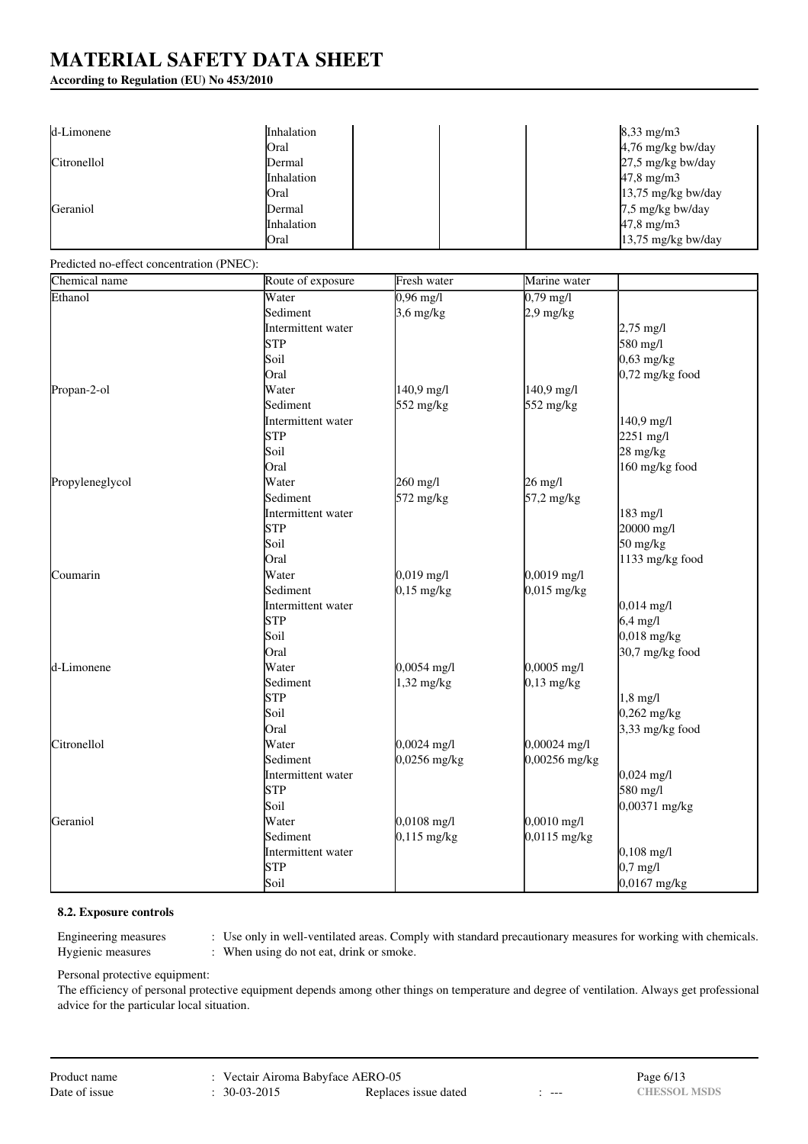# **According to Regulation (EU) No 453/2010**

| d-Limonene  | Inhalation |  | $8,33$ mg/m $3$      |
|-------------|------------|--|----------------------|
|             | Oral       |  | 4,76 mg/kg bw/day    |
| Citronellol | Dermal     |  | $27.5$ mg/kg bw/day  |
|             | Inhalation |  | $47,8 \text{ mg/m}$  |
|             | Oral       |  | $13,75$ mg/kg bw/day |
| Geraniol    | Dermal     |  | 7,5 mg/kg bw/day     |
|             | Inhalation |  | $47.8 \text{ mg/m}$  |
|             | Oral       |  | $13,75$ mg/kg bw/day |

#### Predicted no-effect concentration (PNEC):

| Chemical name   | Route of exposure  | Fresh water         | Marine water          |                      |
|-----------------|--------------------|---------------------|-----------------------|----------------------|
| Ethanol         | Water              | $0,96 \text{ mg/l}$ | $0,79 \text{ mg/l}$   |                      |
|                 | Sediment           | $3,6$ mg/kg         | $2.9$ mg/kg           |                      |
|                 | Intermittent water |                     |                       | $2,75 \text{ mg}/1$  |
|                 | <b>STP</b>         |                     |                       | 580 mg/l             |
|                 | Soil               |                     |                       | $0,63$ mg/kg         |
|                 | Oral               |                     |                       | $0,72$ mg/kg food    |
| Propan-2-ol     | Water              | 140,9 mg/l          | 140,9 mg/l            |                      |
|                 | Sediment           | 552 mg/kg           | 552 mg/kg             |                      |
|                 | Intermittent water |                     |                       | 140,9 mg/l           |
|                 | <b>STP</b>         |                     |                       | $2251 \text{ mg/l}$  |
|                 | Soil               |                     |                       | $28 \text{ mg/kg}$   |
|                 | Oral               |                     |                       | 160 mg/kg food       |
| Propyleneglycol | Water              | 260 mg/l            | $26 \text{ mg/l}$     |                      |
|                 | Sediment           | 572 mg/kg           | 57,2 mg/kg            |                      |
|                 | Intermittent water |                     |                       | 183 mg/l             |
|                 | <b>STP</b>         |                     |                       | 20000 mg/l           |
|                 | Soil               |                     |                       | $50$ mg/kg           |
|                 | Oral               |                     |                       | 1133 mg/kg food      |
| Coumarin        | Water              | $0,019$ mg/l        | $0,0019$ mg/l         |                      |
|                 | Sediment           | $0,15$ mg/kg        | 0,015 mg/kg           |                      |
|                 | Intermittent water |                     |                       | $0,014 \text{ mg/l}$ |
|                 | <b>STP</b>         |                     |                       | $6,4$ mg/l           |
|                 | Soil               |                     |                       | $0,018$ mg/kg        |
|                 | Oral               |                     |                       | 30,7 mg/kg food      |
| d-Limonene      | Water              | 0,0054 mg/l         | 0,0005 mg/l           |                      |
|                 | Sediment           | $1,32$ mg/kg        | $0,13$ mg/kg          |                      |
|                 | <b>STP</b>         |                     |                       | $1,8$ mg/l           |
|                 | Soil               |                     |                       | $0,262$ mg/kg        |
|                 | Oral               |                     |                       | $3,33$ mg/kg food    |
| Citronellol     | Water              | $0,0024$ mg/l       | 0,00024 mg/l          |                      |
|                 | Sediment           | 0,0256 mg/kg        | 0,00256 mg/kg         |                      |
|                 | Intermittent water |                     |                       | $0,024 \text{ mg/l}$ |
|                 | <b>STP</b>         |                     |                       | 580 mg/l             |
|                 | Soil               |                     |                       | $0,00371$ mg/kg      |
| Geraniol        | Water              | $0,0108$ mg/l       | $0,0010 \text{ mg/l}$ |                      |
|                 | Sediment           | $0,115$ mg/kg       | 0,0115 mg/kg          |                      |
|                 | Intermittent water |                     |                       | $0,108$ mg/l         |
|                 | <b>STP</b>         |                     |                       | $0.7$ mg/l           |
|                 | Soil               |                     |                       | $0,0167$ mg/kg       |

# **8.2. Exposure controls**

Engineering measures : Use only in well-ventilated areas. Comply with standard precautionary measures for working with chemicals. Hygienic measures : When using do not eat, drink or smoke.

Personal protective equipment:

The efficiency of personal protective equipment depends among other things on temperature and degree of ventilation. Always get professional advice for the particular local situation.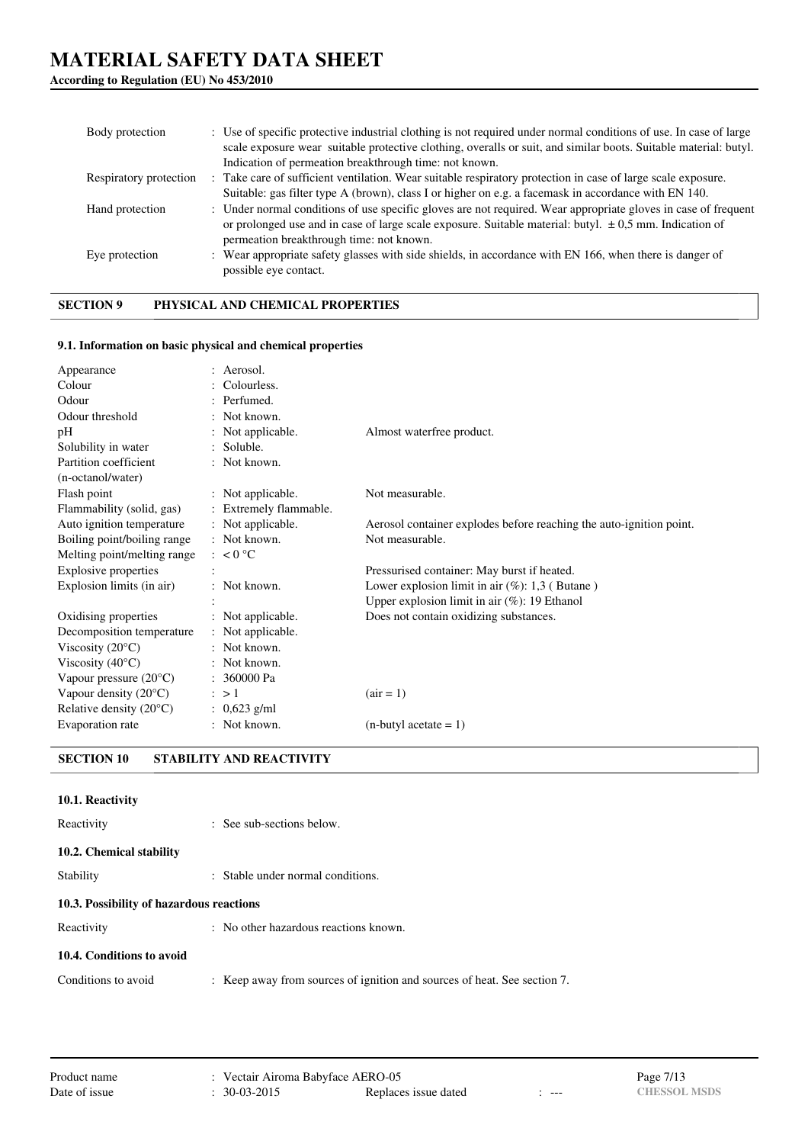# **According to Regulation (EU) No 453/2010**

| Body protection        | : Use of specific protective industrial clothing is not required under normal conditions of use. In case of large<br>scale exposure wear suitable protective clothing, overalls or suit, and similar boots. Suitable material: butyl.<br>Indication of permeation breakthrough time: not known. |
|------------------------|-------------------------------------------------------------------------------------------------------------------------------------------------------------------------------------------------------------------------------------------------------------------------------------------------|
| Respiratory protection | : Take care of sufficient ventilation. Wear suitable respiratory protection in case of large scale exposure.<br>Suitable: gas filter type A (brown), class I or higher on e.g. a facemask in accordance with EN 140.                                                                            |
| Hand protection        | : Under normal conditions of use specific gloves are not required. Wear appropriate gloves in case of frequent<br>or prolonged use and in case of large scale exposure. Suitable material: butyl. $\pm$ 0,5 mm. Indication of<br>permeation breakthrough time: not known.                       |
| Eye protection         | : Wear appropriate safety glasses with side shields, in accordance with EN 166, when there is danger of<br>possible eye contact.                                                                                                                                                                |

# **SECTION 9 PHYSICAL AND CHEMICAL PROPERTIES**

#### **9.1. Information on basic physical and chemical properties**

| Appearance                       | : Aerosol.             |                                                                     |
|----------------------------------|------------------------|---------------------------------------------------------------------|
| Colour                           | : Colourless.          |                                                                     |
| Odour                            | : Perfumed.            |                                                                     |
| Odour threshold                  | : Not known.           |                                                                     |
| pH                               | : Not applicable.      | Almost waterfree product.                                           |
| Solubility in water              | : Soluble.             |                                                                     |
| Partition coefficient            | : Not known.           |                                                                     |
| (n-octanol/water)                |                        |                                                                     |
| Flash point                      | : Not applicable.      | Not measurable.                                                     |
| Flammability (solid, gas)        | : Extremely flammable. |                                                                     |
| Auto ignition temperature        | : Not applicable.      | Aerosol container explodes before reaching the auto-ignition point. |
| Boiling point/boiling range      | : Not known.           | Not measurable.                                                     |
| Melting point/melting range      | $\approx 0$ °C         |                                                                     |
| <b>Explosive properties</b>      |                        | Pressurised container: May burst if heated.                         |
| Explosion limits (in air)        | : Not known.           | Lower explosion limit in air $(\%)$ : 1,3 (Butane)                  |
|                                  |                        | Upper explosion limit in air $(\%)$ : 19 Ethanol                    |
| Oxidising properties             | : Not applicable.      | Does not contain oxidizing substances.                              |
| Decomposition temperature        | : Not applicable.      |                                                                     |
| Viscosity $(20^{\circ}C)$        | $:$ Not known.         |                                                                     |
| Viscosity $(40^{\circ}C)$        | : Not known.           |                                                                     |
| Vapour pressure $(20^{\circ}C)$  | : 360000 Pa            |                                                                     |
| Vapour density $(20^{\circ}C)$   | $\therefore$ > 1       | $(air = 1)$                                                         |
| Relative density $(20^{\circ}C)$ | : $0,623$ g/ml         |                                                                     |
| Evaporation rate                 | : Not known.           | $(n$ -butyl acetate = 1)                                            |

# **SECTION 10 STABILITY AND REACTIVITY**

# **10.1. Reactivity**

| Reactivity                               | : See sub-sections below.                                                |
|------------------------------------------|--------------------------------------------------------------------------|
| 10.2. Chemical stability                 |                                                                          |
| Stability                                | : Stable under normal conditions.                                        |
| 10.3. Possibility of hazardous reactions |                                                                          |
| Reactivity                               | : No other hazardous reactions known.                                    |
| 10.4. Conditions to avoid                |                                                                          |
| Conditions to avoid                      | : Keep away from sources of ignition and sources of heat. See section 7. |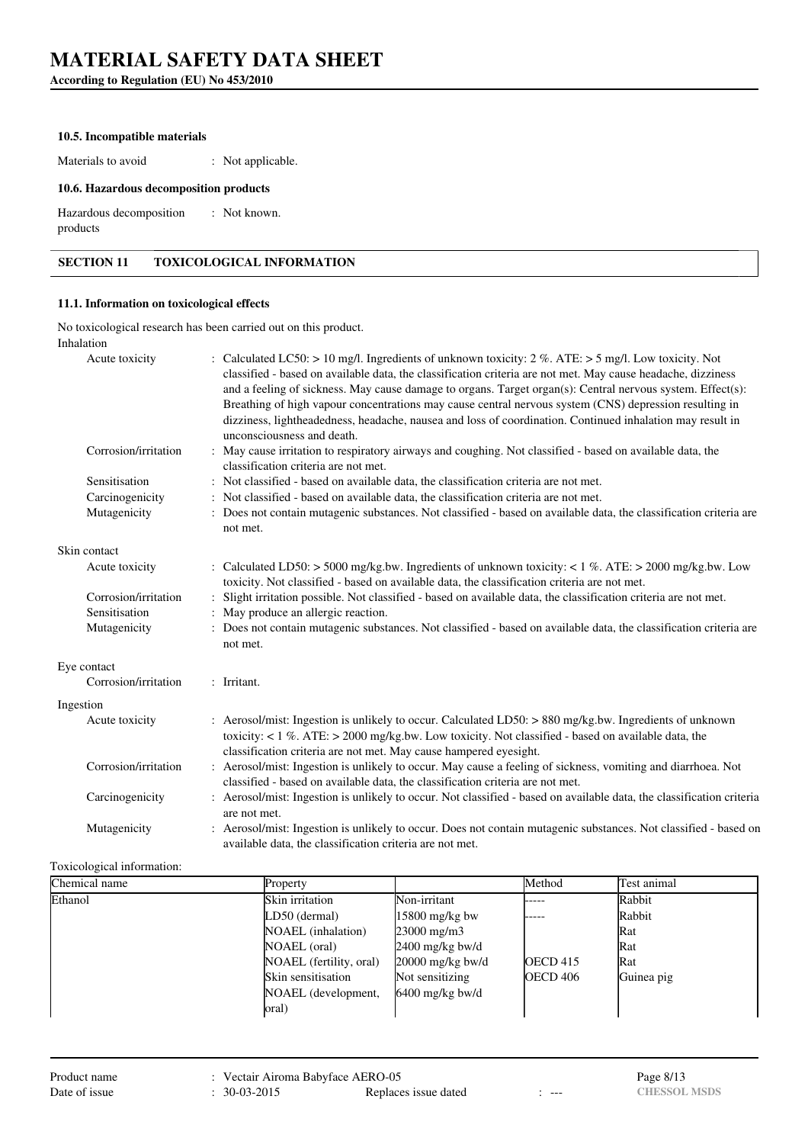**According to Regulation (EU) No 453/2010**

#### **10.5. Incompatible materials**

Materials to avoid : Not applicable.

### **10.6. Hazardous decomposition products**

Hazardous decomposition products : Not known.

# **SECTION 11 TOXICOLOGICAL INFORMATION**

### **11.1. Information on toxicological effects**

No toxicological research has been carried out on this product. Inhalation

| Acute toxicity       | : Calculated LC50: > 10 mg/l. Ingredients of unknown toxicity: $2\%$ . ATE: > 5 mg/l. Low toxicity. Not<br>classified - based on available data, the classification criteria are not met. May cause headache, dizziness<br>and a feeling of sickness. May cause damage to organs. Target organ(s): Central nervous system. Effect(s):<br>Breathing of high vapour concentrations may cause central nervous system (CNS) depression resulting in<br>dizziness, lightheadedness, headache, nausea and loss of coordination. Continued inhalation may result in<br>unconsciousness and death. |
|----------------------|--------------------------------------------------------------------------------------------------------------------------------------------------------------------------------------------------------------------------------------------------------------------------------------------------------------------------------------------------------------------------------------------------------------------------------------------------------------------------------------------------------------------------------------------------------------------------------------------|
| Corrosion/irritation | : May cause irritation to respiratory airways and coughing. Not classified - based on available data, the<br>classification criteria are not met.                                                                                                                                                                                                                                                                                                                                                                                                                                          |
| Sensitisation        | : Not classified - based on available data, the classification criteria are not met.                                                                                                                                                                                                                                                                                                                                                                                                                                                                                                       |
| Carcinogenicity      | : Not classified - based on available data, the classification criteria are not met.                                                                                                                                                                                                                                                                                                                                                                                                                                                                                                       |
| Mutagenicity         | : Does not contain mutagenic substances. Not classified - based on available data, the classification criteria are<br>not met.                                                                                                                                                                                                                                                                                                                                                                                                                                                             |
| Skin contact         |                                                                                                                                                                                                                                                                                                                                                                                                                                                                                                                                                                                            |
| Acute toxicity       | : Calculated LD50: > 5000 mg/kg.bw. Ingredients of unknown toxicity: < 1 %. ATE: > 2000 mg/kg.bw. Low<br>toxicity. Not classified - based on available data, the classification criteria are not met.                                                                                                                                                                                                                                                                                                                                                                                      |
| Corrosion/irritation | Slight irritation possible. Not classified - based on available data, the classification criteria are not met.                                                                                                                                                                                                                                                                                                                                                                                                                                                                             |
| Sensitisation        | : May produce an allergic reaction.                                                                                                                                                                                                                                                                                                                                                                                                                                                                                                                                                        |
| Mutagenicity         | : Does not contain mutagenic substances. Not classified - based on available data, the classification criteria are<br>not met.                                                                                                                                                                                                                                                                                                                                                                                                                                                             |
| Eye contact          |                                                                                                                                                                                                                                                                                                                                                                                                                                                                                                                                                                                            |
| Corrosion/irritation | : Irritant.                                                                                                                                                                                                                                                                                                                                                                                                                                                                                                                                                                                |
| Ingestion            |                                                                                                                                                                                                                                                                                                                                                                                                                                                                                                                                                                                            |
| Acute toxicity       | : Aerosol/mist: Ingestion is unlikely to occur. Calculated LD50: $> 880$ mg/kg.bw. Ingredients of unknown<br>toxicity: $< 1\%$ . ATE: $> 2000$ mg/kg.bw. Low toxicity. Not classified - based on available data, the<br>classification criteria are not met. May cause hampered eyesight.                                                                                                                                                                                                                                                                                                  |
| Corrosion/irritation | : Aerosol/mist: Ingestion is unlikely to occur. May cause a feeling of sickness, vomiting and diarrhoea. Not<br>classified - based on available data, the classification criteria are not met.                                                                                                                                                                                                                                                                                                                                                                                             |
| Carcinogenicity      | : Aerosol/mist: Ingestion is unlikely to occur. Not classified - based on available data, the classification criteria<br>are not met.                                                                                                                                                                                                                                                                                                                                                                                                                                                      |
| Mutagenicity         | : Aerosol/mist: Ingestion is unlikely to occur. Does not contain mutagenic substances. Not classified - based on<br>available data, the classification criteria are not met.                                                                                                                                                                                                                                                                                                                                                                                                               |

### Toxicological information:

| Chemical name | Property                |                      | Method          | Test animal |
|---------------|-------------------------|----------------------|-----------------|-------------|
| Ethanol       | Skin irritation         | Non-irritant         | -----           | Rabbit      |
|               | LD50 (dermal)           | $15800$ mg/kg bw     | -----           | Rabbit      |
|               | NOAEL (inhalation)      | $23000 \text{ mg/m}$ |                 | Rat         |
|               | NOAEL (oral)            | $2400$ mg/kg bw/d    |                 | Rat         |
|               | NOAEL (fertility, oral) | $20000$ mg/kg bw/d   | <b>OECD</b> 415 | Rat         |
|               | Skin sensitisation      | Not sensitizing      | <b>OECD 406</b> | Guinea pig  |
|               | NOAEL (development,     | $6400$ mg/kg bw/d    |                 |             |
|               | oral)                   |                      |                 |             |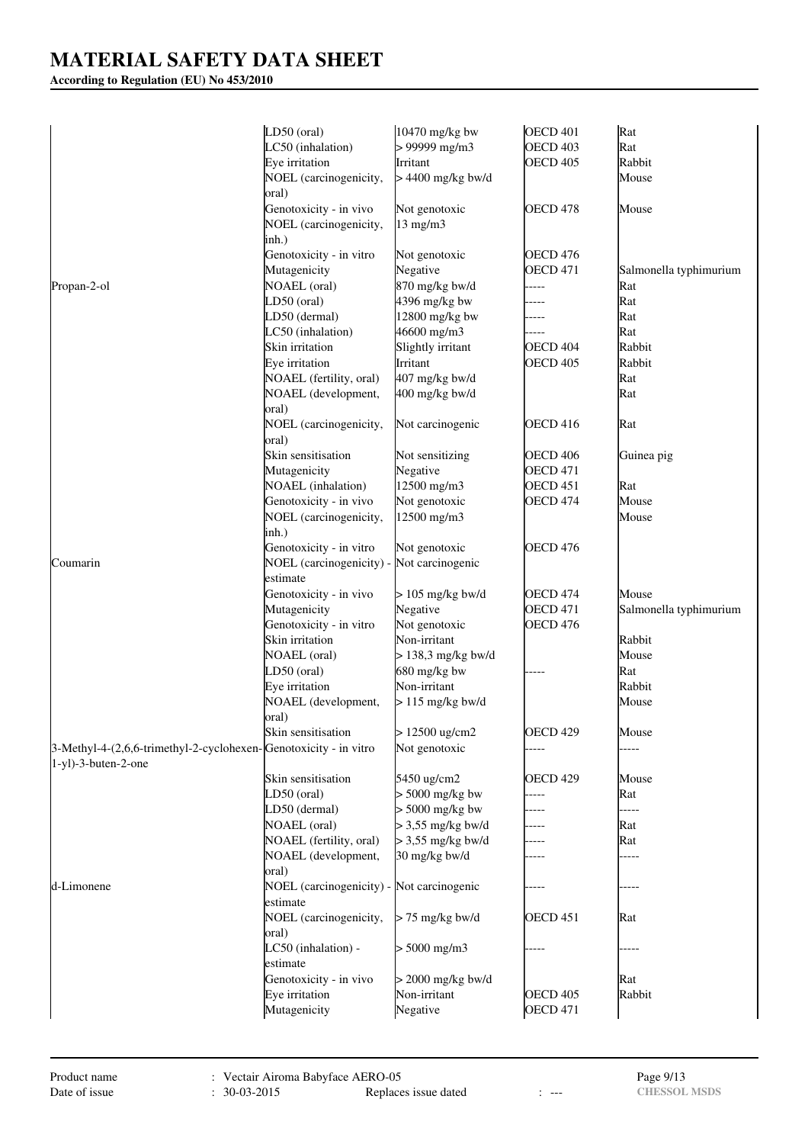# **According to Regulation (EU) No 453/2010**

|                                                                  | LD50 (oral)                               | 10470 mg/kg bw           | OECD 401            | Rat                    |
|------------------------------------------------------------------|-------------------------------------------|--------------------------|---------------------|------------------------|
|                                                                  | LC50 (inhalation)                         | $> 99999$ mg/m3          | OECD <sub>403</sub> | Rat                    |
|                                                                  | Eye irritation                            | Irritant                 | <b>OECD 405</b>     | Rabbit                 |
|                                                                  | NOEL (carcinogenicity,                    | $> 4400$ mg/kg bw/d      |                     | Mouse                  |
|                                                                  | oral)                                     |                          |                     |                        |
|                                                                  | Genotoxicity - in vivo                    | Not genotoxic            | OECD 478            | Mouse                  |
|                                                                  | NOEL (carcinogenicity,                    | 13 mg/m3                 |                     |                        |
|                                                                  | inh.)                                     |                          |                     |                        |
|                                                                  | Genotoxicity - in vitro                   | Not genotoxic            | <b>OECD 476</b>     |                        |
|                                                                  | Mutagenicity                              | Negative                 | <b>OECD 471</b>     | Salmonella typhimurium |
| Propan-2-ol                                                      | <b>NOAEL</b> (oral)                       | 870 mg/kg bw/d           | -----               | Rat                    |
|                                                                  | $LD50$ (oral)                             | 4396 mg/kg bw            |                     | Rat                    |
|                                                                  | LD50 (dermal)                             | 12800 mg/kg bw           |                     | Rat                    |
|                                                                  | LC50 (inhalation)                         | 46600 mg/m3              |                     | Rat                    |
|                                                                  | Skin irritation                           | Slightly irritant        | OECD <sub>404</sub> | Rabbit                 |
|                                                                  | Eye irritation                            | Irritant                 | <b>OECD 405</b>     | Rabbit                 |
|                                                                  | NOAEL (fertility, oral)                   | 407 mg/kg bw/d           |                     | Rat                    |
|                                                                  | NOAEL (development,                       | 400 mg/kg bw/d           |                     | Rat                    |
|                                                                  | oral)                                     |                          |                     |                        |
|                                                                  | NOEL (carcinogenicity,                    | Not carcinogenic         | OECD <sub>416</sub> | Rat                    |
|                                                                  | oral)                                     |                          |                     |                        |
|                                                                  | Skin sensitisation                        | Not sensitizing          | OECD <sub>406</sub> | Guinea pig             |
|                                                                  | Mutagenicity                              | Negative                 | <b>OECD 471</b>     |                        |
|                                                                  | <b>NOAEL</b> (inhalation)                 | 12500 mg/m3              | OECD <sub>451</sub> | Rat                    |
|                                                                  | Genotoxicity - in vivo                    | Not genotoxic            | <b>OECD 474</b>     | Mouse                  |
|                                                                  | NOEL (carcinogenicity,                    | 12500 mg/m3              |                     | Mouse                  |
|                                                                  | inh.)                                     |                          |                     |                        |
|                                                                  | Genotoxicity - in vitro                   | Not genotoxic            | OECD <sub>476</sub> |                        |
| Coumarin                                                         | NOEL (carcinogenicity) -                  | Not carcinogenic         |                     |                        |
|                                                                  | estimate                                  |                          |                     |                        |
|                                                                  | Genotoxicity - in vivo                    | $> 105$ mg/kg bw/d       | <b>OECD 474</b>     | Mouse                  |
|                                                                  |                                           | Negative                 | <b>OECD 471</b>     |                        |
|                                                                  | Mutagenicity                              |                          |                     | Salmonella typhimurium |
|                                                                  | Genotoxicity - in vitro                   | Not genotoxic            | OECD <sub>476</sub> |                        |
|                                                                  | Skin irritation                           | Non-irritant             |                     | Rabbit                 |
|                                                                  | <b>NOAEL</b> (oral)                       | $> 138.3$ mg/kg bw/d     |                     | Mouse                  |
|                                                                  | LD50 (oral)                               | 680 mg/kg bw             |                     | Rat                    |
|                                                                  | Eye irritation                            | Non-irritant             |                     | Rabbit                 |
|                                                                  | NOAEL (development,                       | $> 115$ mg/kg bw/d       |                     | Mouse                  |
|                                                                  | oral)                                     |                          |                     |                        |
|                                                                  | Skin sensitisation                        | $> 12500 \text{ ug/cm2}$ | <b>OECD 429</b>     | Mouse                  |
| 3-Methyl-4-(2,6,6-trimethyl-2-cyclohexen-Genotoxicity - in vitro |                                           | Not genotoxic            |                     |                        |
| 1-yl)-3-buten-2-one                                              |                                           |                          |                     |                        |
|                                                                  | Skin sensitisation                        | 5450 ug/cm2              | OECD 429            | Mouse                  |
|                                                                  | LD50 (oral)                               | $> 5000$ mg/kg bw        | ----                | Rat                    |
|                                                                  | LD50 (dermal)                             | $> 5000$ mg/kg bw        |                     | -----                  |
|                                                                  | <b>NOAEL</b> (oral)                       | $>$ 3,55 mg/kg bw/d      |                     | Rat                    |
|                                                                  | NOAEL (fertility, oral)                   | $>$ 3,55 mg/kg bw/d      |                     | Rat                    |
|                                                                  | NOAEL (development,                       | 30 mg/kg bw/d            |                     |                        |
|                                                                  | oral)                                     |                          |                     |                        |
| d-Limonene                                                       | NOEL (carcinogenicity) - Not carcinogenic |                          |                     |                        |
|                                                                  | estimate                                  |                          |                     |                        |
|                                                                  | NOEL (carcinogenicity,                    | $> 75$ mg/kg bw/d        | OECD 451            | Rat                    |
|                                                                  | oral)                                     |                          |                     |                        |
|                                                                  | LC50 (inhalation) -                       | $> 5000$ mg/m3           |                     |                        |
|                                                                  | estimate                                  |                          |                     |                        |
|                                                                  | Genotoxicity - in vivo                    | $> 2000$ mg/kg bw/d      |                     | Rat                    |
|                                                                  | Eye irritation                            | Non-irritant             | <b>OECD 405</b>     | Rabbit                 |
|                                                                  | Mutagenicity                              | Negative                 | <b>OECD 471</b>     |                        |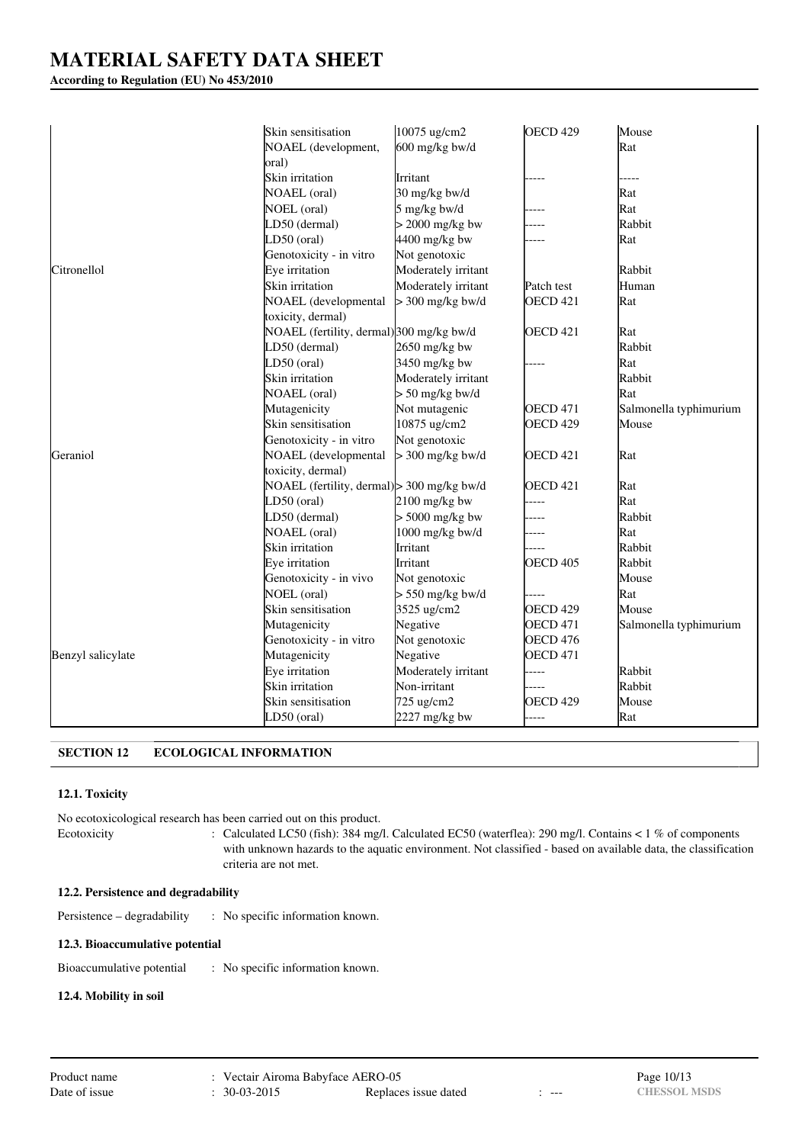# **According to Regulation (EU) No 453/2010**

|                   | Skin sensitisation                         | 10075 ug/cm2        | <b>OECD 429</b>     | Mouse                  |
|-------------------|--------------------------------------------|---------------------|---------------------|------------------------|
|                   | NOAEL (development,<br>oral)               | 600 mg/kg bw/d      |                     | Rat                    |
|                   | Skin irritation                            | Irritant            |                     |                        |
|                   | <b>NOAEL</b> (oral)                        | 30 mg/kg bw/d       |                     | Rat                    |
|                   | NOEL (oral)                                | 5 mg/kg bw/d        |                     | Rat                    |
|                   | LD50 (dermal)                              | $>$ 2000 mg/kg bw   |                     | Rabbit                 |
|                   | LD50 (oral)                                | 4400 mg/kg bw       |                     | Rat                    |
|                   | Genotoxicity - in vitro                    | Not genotoxic       |                     |                        |
| Citronellol       | Eye irritation                             | Moderately irritant |                     | Rabbit                 |
|                   | Skin irritation                            | Moderately irritant | Patch test          | Human                  |
|                   | NOAEL (developmental                       | $>$ 300 mg/kg bw/d  | <b>OECD 421</b>     | Rat                    |
|                   | toxicity, dermal)                          |                     |                     |                        |
|                   | NOAEL (fertility, dermal) 300 mg/kg bw/d   |                     | OECD <sub>421</sub> | Rat                    |
|                   | LD50 (dermal)                              | $2650$ mg/kg bw     |                     | Rabbit                 |
|                   | LD50 (oral)                                | 3450 mg/kg bw       |                     | Rat                    |
|                   | Skin irritation                            | Moderately irritant |                     | Rabbit                 |
|                   | <b>NOAEL</b> (oral)                        | $> 50$ mg/kg bw/d   |                     | Rat                    |
|                   | Mutagenicity                               | Not mutagenic       | <b>OECD 471</b>     | Salmonella typhimurium |
|                   | Skin sensitisation                         | 10875 ug/cm2        | OECD <sub>429</sub> | Mouse                  |
|                   | Genotoxicity - in vitro                    | Not genotoxic       |                     |                        |
| Geraniol          | NOAEL (developmental                       | $> 300$ mg/kg bw/d  | <b>OECD 421</b>     | Rat                    |
|                   | toxicity, dermal)                          |                     |                     |                        |
|                   | NOAEL (fertility, dermal) > 300 mg/kg bw/d |                     | OECD 421            | Rat                    |
|                   | LD50 (oral)                                | 2100 mg/kg bw       |                     | Rat                    |
|                   | LD50 (dermal)                              | $> 5000$ mg/kg bw   |                     | Rabbit                 |
|                   | <b>NOAEL</b> (oral)                        | 1000 mg/kg bw/d     |                     | Rat                    |
|                   | Skin irritation                            | Irritant            |                     | Rabbit                 |
|                   | Eye irritation                             | Irritant            | OECD <sub>405</sub> | Rabbit                 |
|                   | Genotoxicity - in vivo                     | Not genotoxic       |                     | Mouse                  |
|                   | NOEL (oral)                                | $> 550$ mg/kg bw/d  | ----                | Rat                    |
|                   | Skin sensitisation                         | 3525 ug/cm2         | OECD 429            | Mouse                  |
|                   | Mutagenicity                               | Negative            | <b>OECD 471</b>     | Salmonella typhimurium |
|                   | Genotoxicity - in vitro                    | Not genotoxic       | <b>OECD 476</b>     |                        |
| Benzyl salicylate | Mutagenicity                               | Negative            | <b>OECD 471</b>     |                        |
|                   | Eye irritation                             | Moderately irritant |                     | Rabbit                 |
|                   | Skin irritation                            | Non-irritant        | ----                | Rabbit                 |
|                   | Skin sensitisation                         | 725 ug/cm2          | OECD <sub>429</sub> | Mouse                  |
|                   | LD50 (oral)                                | $2227$ mg/kg bw     | ----                | Rat                    |

# **SECTION 12 ECOLOGICAL INFORMATION**

# **12.1. Toxicity**

No ecotoxicological research has been carried out on this product.

Ecotoxicity : Calculated LC50 (fish): 384 mg/l. Calculated EC50 (waterflea): 290 mg/l. Contains < 1 % of components with unknown hazards to the aquatic environment. Not classified - based on available data, the classification criteria are not met.

#### **12.2. Persistence and degradability**

Persistence – degradability : No specific information known.

#### **12.3. Bioaccumulative potential**

Bioaccumulative potential : No specific information known.

#### **12.4. Mobility in soil**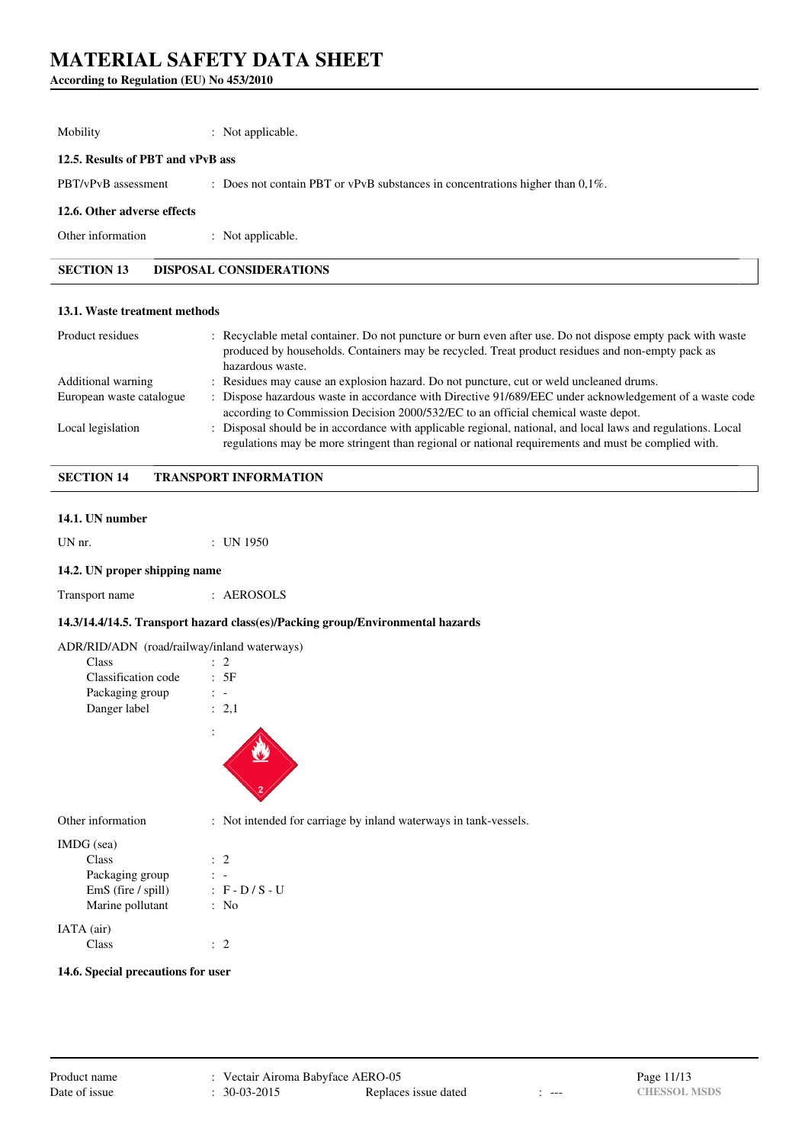# **According to Regulation (EU) No 453/2010**

| Mobility                          | : Not applicable.                                                                 |
|-----------------------------------|-----------------------------------------------------------------------------------|
| 12.5. Results of PBT and vPvB ass |                                                                                   |
| PBT/vPvB assessment               | : Does not contain PBT or vPvB substances in concentrations higher than $0.1\%$ . |
| 12.6. Other adverse effects       |                                                                                   |
| Other information                 | : Not applicable.                                                                 |
| <b>SECTION 13</b>                 | <b>DISPOSAL CONSIDERATIONS</b>                                                    |
|                                   |                                                                                   |

#### **13.1. Waste treatment methods**

| Product residues         | : Recyclable metal container. Do not puncture or burn even after use. Do not dispose empty pack with waste<br>produced by households. Containers may be recycled. Treat product residues and non-empty pack as<br>hazardous waste. |
|--------------------------|------------------------------------------------------------------------------------------------------------------------------------------------------------------------------------------------------------------------------------|
| Additional warning       | : Residues may cause an explosion hazard. Do not puncture, cut or weld uncleaned drums.                                                                                                                                            |
| European waste catalogue | : Dispose hazardous waste in accordance with Directive 91/689/EEC under acknowledgement of a waste code<br>according to Commission Decision 2000/532/EC to an official chemical waste depot.                                       |
| Local legislation        | : Disposal should be in accordance with applicable regional, national, and local laws and regulations. Local<br>regulations may be more stringent than regional or national requirements and must be complied with.                |

# **SECTION 14 TRANSPORT INFORMATION**

#### **14.1. UN number**

UN nr. : UN 1950

#### **14.2. UN proper shipping name**

| Transport name | AEROSOLS |
|----------------|----------|
|                |          |

# **14.3/14.4/14.5. Transport hazard class(es)/Packing group/Environmental hazards**

|  | ADR/RID/ADN (road/railway/inland waterways) |  |
|--|---------------------------------------------|--|
|--|---------------------------------------------|--|

| Class               |       |
|---------------------|-------|
| Classification code | : 5F  |
| Packaging group     |       |
| Danger label        | : 2.1 |
|                     |       |



Other information : Not intended for carriage by inland waterways in tank-vessels.

| IMDG (sea)           |                   |  |
|----------------------|-------------------|--|
| Class                | $\therefore$ 2    |  |
| Packaging group      |                   |  |
| $EmS$ (fire / spill) | $: F - D / S - U$ |  |
| Marine pollutant     | : No              |  |
| IATA (air)           |                   |  |
| Class                |                   |  |

### **14.6. Special precautions for user**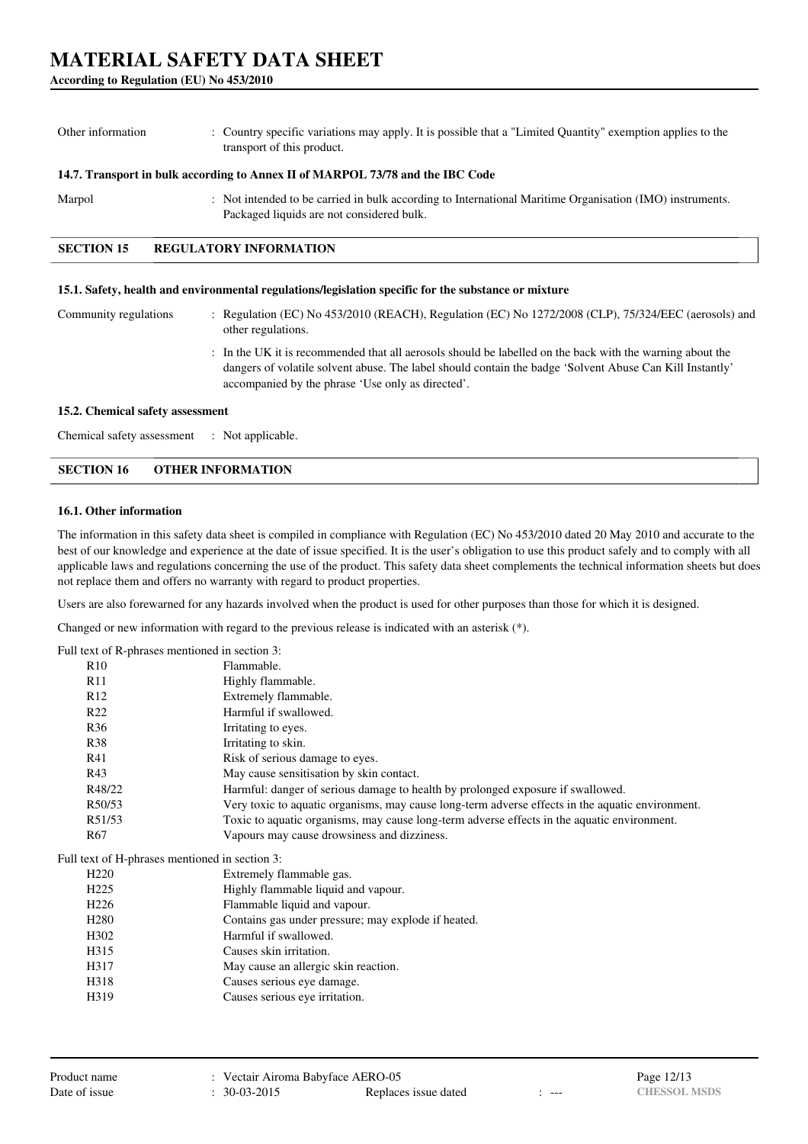### **According to Regulation (EU) No 453/2010**

Other information : Country specific variations may apply. It is possible that a "Limited Quantity" exemption applies to the transport of this product.

#### **14.7. Transport in bulk according to Annex II of MARPOL 73/78 and the IBC Code**

Marpol : Not intended to be carried in bulk according to International Maritime Organisation (IMO) instruments. Packaged liquids are not considered bulk.

# **SECTION 15 REGULATORY INFORMATION**

#### **15.1. Safety, health and environmental regulations/legislation specific for the substance or mixture**

| Community regulations | : Regulation (EC) No 453/2010 (REACH), Regulation (EC) No 1272/2008 (CLP), 75/324/EEC (aerosols) and<br>other regulations.                                                                                                                                                 |
|-----------------------|----------------------------------------------------------------------------------------------------------------------------------------------------------------------------------------------------------------------------------------------------------------------------|
|                       | : In the UK it is recommended that all aerosols should be labelled on the back with the warning about the<br>dangers of volatile solvent abuse. The label should contain the badge 'Solvent Abuse Can Kill Instantly'<br>accompanied by the phrase 'Use only as directed'. |

#### **15.2. Chemical safety assessment**

Chemical safety assessment : Not applicable.

### **SECTION 16 OTHER INFORMATION**

# **16.1. Other information**

The information in this safety data sheet is compiled in compliance with Regulation (EC) No 453/2010 dated 20 May 2010 and accurate to the best of our knowledge and experience at the date of issue specified. It is the user's obligation to use this product safely and to comply with all applicable laws and regulations concerning the use of the product. This safety data sheet complements the technical information sheets but does not replace them and offers no warranty with regard to product properties.

Users are also forewarned for any hazards involved when the product is used for other purposes than those for which it is designed.

Changed or new information with regard to the previous release is indicated with an asterisk (\*).

Full text of R-phrases mentioned in section 3:

| R10              | Flammable.                                                                                       |
|------------------|--------------------------------------------------------------------------------------------------|
| R11              | Highly flammable.                                                                                |
| R12              | Extremely flammable.                                                                             |
| R22              | Harmful if swallowed.                                                                            |
| R <sub>36</sub>  | Irritating to eyes.                                                                              |
| <b>R38</b>       | Irritating to skin.                                                                              |
| R41              | Risk of serious damage to eyes.                                                                  |
| R43              | May cause sensitisation by skin contact.                                                         |
| R48/22           | Harmful: danger of serious damage to health by prolonged exposure if swallowed.                  |
| R50/53           | Very toxic to aquatic organisms, may cause long-term adverse effects in the aquatic environment. |
| R51/53           | Toxic to aquatic organisms, may cause long-term adverse effects in the aquatic environment.      |
| R67              | Vapours may cause drowsiness and dizziness.                                                      |
|                  | Full text of H-phrases mentioned in section 3:                                                   |
| H <sub>220</sub> | Extremely flammable gas.                                                                         |
| H <sub>225</sub> | Highly flammable liquid and vapour.                                                              |
| H <sub>226</sub> | Flammable liquid and vapour.                                                                     |
| H <sub>280</sub> | Contains gas under pressure; may explode if heated.                                              |
| H302             | Harmful if swallowed.                                                                            |
| H315             | Causes skin irritation.                                                                          |
| H317             | May cause an allergic skin reaction.                                                             |
| H318             | Causes serious eye damage.                                                                       |
| H319             | Causes serious eye irritation.                                                                   |
|                  |                                                                                                  |